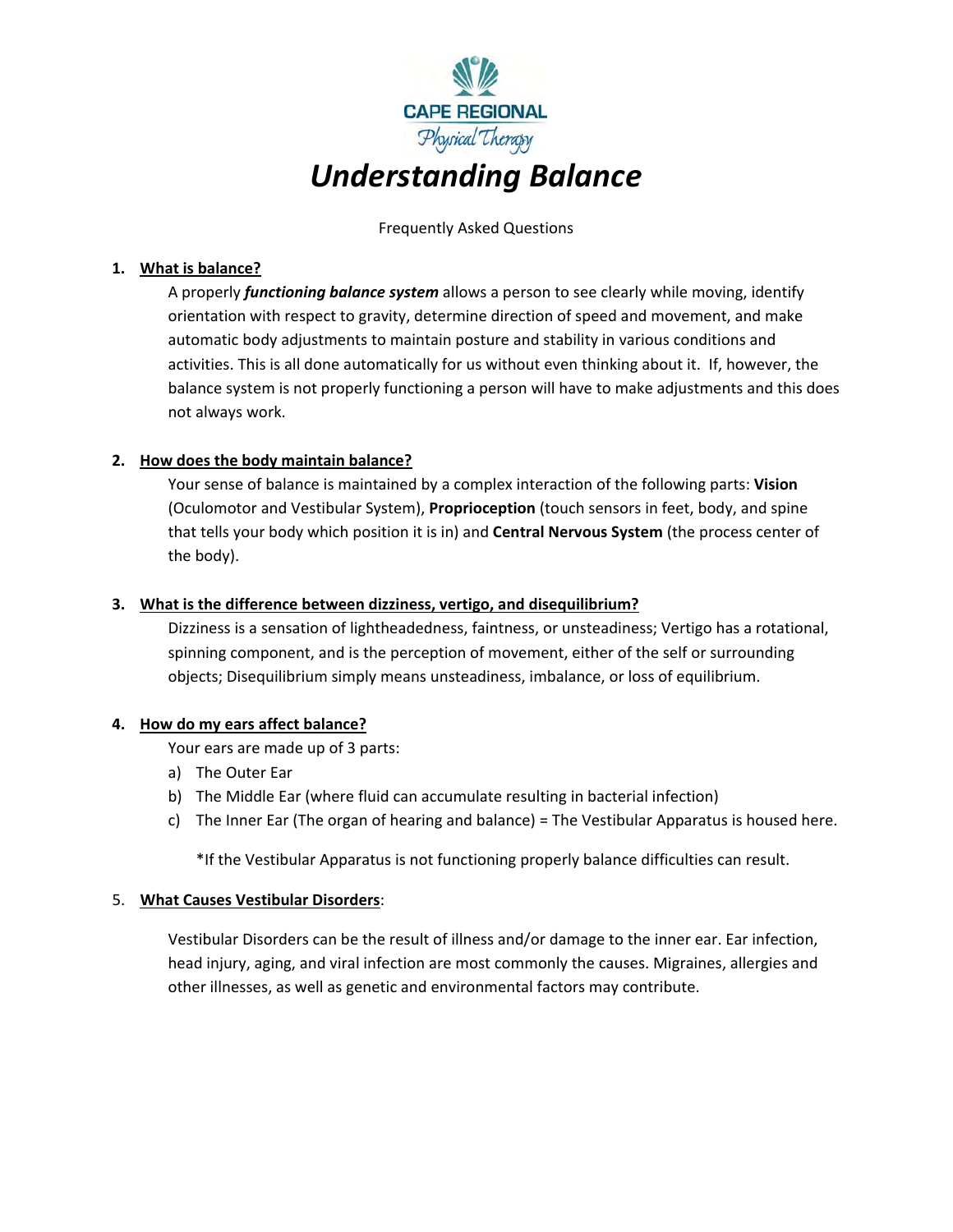

Frequently Asked Questions

### **1. What is balance?**

A properly *functioning balance system* allows a person to see clearly while moving, identify orientation with respect to gravity, determine direction of speed and movement, and make automatic body adjustments to maintain posture and stability in various conditions and activities. This is all done automatically for us without even thinking about it. If, however, the balance system is not properly functioning a person will have to make adjustments and this does not always work.

## **2. How does the body maintain balance?**

Your sense of balance is maintained by a complex interaction of the following parts: **Vision** (Oculomotor and Vestibular System), **Proprioception** (touch sensors in feet, body, and spine that tells your body which position it is in) and **Central Nervous System** (the process center of the body).

## **3. What is the difference between dizziness, vertigo, and disequilibrium?**

Dizziness is a sensation of lightheadedness, faintness, or unsteadiness; Vertigo has a rotational, spinning component, and is the perception of movement, either of the self or surrounding objects; Disequilibrium simply means unsteadiness, imbalance, or loss of equilibrium.

#### **4. How do my ears affect balance?**

Your ears are made up of 3 parts:

- a) The Outer Ear
- b) The Middle Ear (where fluid can accumulate resulting in bacterial infection)
- c) The Inner Ear (The organ of hearing and balance) = The Vestibular Apparatus is housed here.

\*If the Vestibular Apparatus is not functioning properly balance difficulties can result.

#### 5. **What Causes Vestibular Disorders**:

Vestibular Disorders can be the result of illness and/or damage to the inner ear. Ear infection, head injury, aging, and viral infection are most commonly the causes. Migraines, allergies and other illnesses, as well as genetic and environmental factors may contribute.